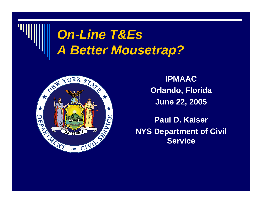



**IPMAACOrlando, Florida June 22, 2005**

**Paul D. KaiserNYS Department of Civil Service**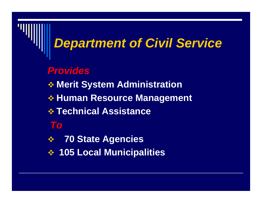#### *Department of Civil Service*

#### *Provides*

- **Merit System Administration**
- **Human Resource Management**
- **Technical Assistance**
- *To*
- $\frac{1}{2}$ **70 State Agencies**
- **105 Local Municipalities**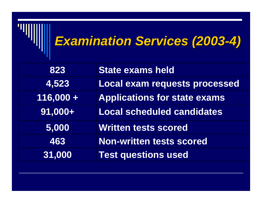### *Examination Services (2003 Examination Services (2003-4)*

| 823         | <b>State exams held</b>              |
|-------------|--------------------------------------|
| 4,523       | <b>Local exam requests processed</b> |
| $116,000 +$ | <b>Applications for state exams</b>  |
| $ 91,000+$  | <b>Local scheduled candidates</b>    |
| 5,000       | <b>Written tests scored</b>          |
| 463         | <b>Non-written tests scored</b>      |
| 31,000      | <b>Test questions used</b>           |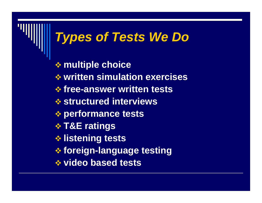#### *Types of Tests We Do*

 **multiple choice written simulation exercises free-answer written tests structured interviews performance tests T&E ratings listening tests foreign-language testing video based tests**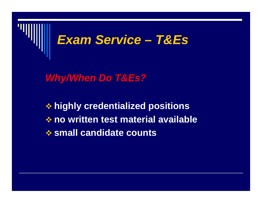

*Why/When Do T&Es?*

 **highly credentialized positions no written test material available small candidate counts**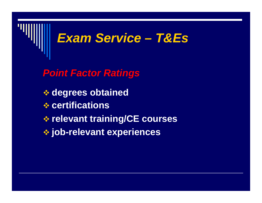

*Point Factor Ratings*

- **degrees obtained**
- **certifications**
- **relevant training/CE courses**
- **job-relevant experiences**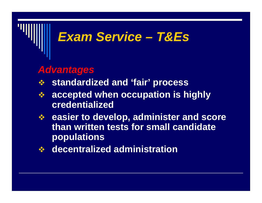#### *Advantages*

- $\frac{1}{2}$ **standardized and 'fair' process**
- 参 **accepted when occupation is highly credentialized**
- **easier to develop, administer and score than written tests for small candidate populations**
- **decentralized administration**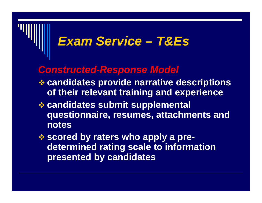#### *Constructed-Response Model*

- **candidates provide narrative descriptions of their relevant training and experience**
- **candidates submit supplemental questionnaire, resumes, attachments and notes**
- **scored by raters who apply a predetermined rating scale to information presented by candidates**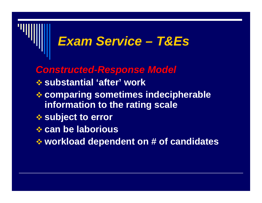*Constructed-Response Model*  **substantial 'after' work comparing sometimes indecipherable information to the rating scale subject to error can be laborious workload dependent on # of candidates**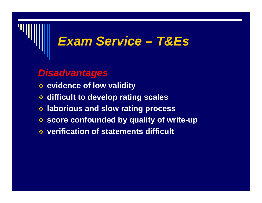#### *Disadvantages*

- **evidence of low validity**
- **difficult to develop rating scales**
- **laborious and slow rating process**
- **score confounded by quality of write-up**
- **verification of statements difficult**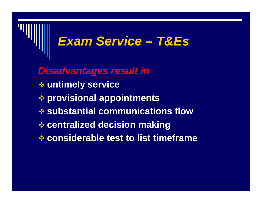*Disadvantages result in* **untimely service provisional appointments substantial communications flow centralized decision making considerable test to list timeframe**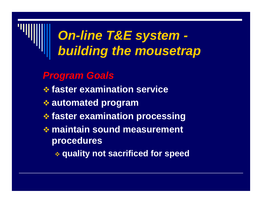- *Program Goals*
- **faster examination service**
- **automated program**
- **faster examination processing**
- **maintain sound measurement procedures**
	- **quality not sacrificed for speed**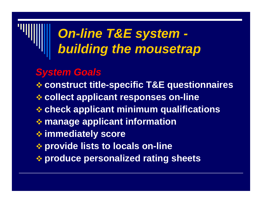#### *System Goals*

**construct title-specific T&E questionnaires**

**collect applicant responses on-line**

- **check applicant minimum qualifications**
- **manage applicant information**
- **immediately score**
- **provide lists to locals on-line**

**produce personalized rating sheets**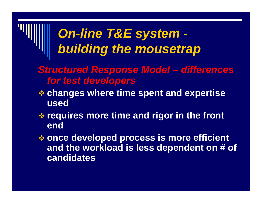- *Structured Response Model – differences for test developers*
- **changes where time spent and expertise used**
- **requires more time and rigor in the front end**
- **once developed process is more efficient and the workload is less dependent on # of candidates**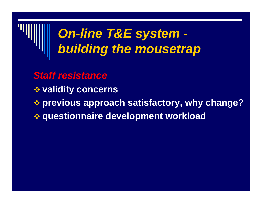

*Staff resistance* **validity concerns previous approach satisfactory, why change? questionnaire development workload**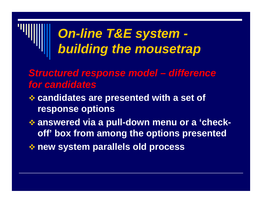- *Structured response model – difference for candidates*
- **candidates are presented with a set of response options**
- **answered via a pull-down menu or a 'checkoff' box from among the options presented new system parallels old process**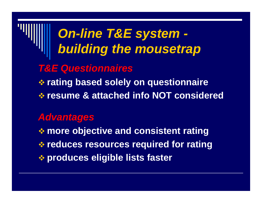### *On-line T&E system building the mousetrap T&E Questionnaires* **rating based solely on questionnaire resume & attached info NOT considered** *Advantages* **more objective and consistent rating reduces resources required for rating produces eligible lists faster**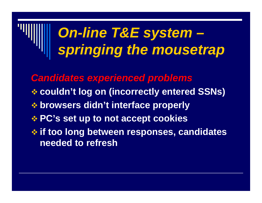## *On-line T&E system – springing the mousetrap*

*Candidates experienced problems* **couldn't log on (incorrectly entered SSNs) browsers didn't interface properly PC's set up to not accept cookies if too long between responses, candidates needed to refresh**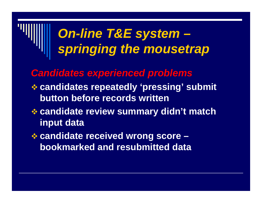### *On-line T&E system – springing the mousetrap*

*Candidates experienced problems*

- **candidates repeatedly 'pressing' submit button before records written**
- **candidate review summary didn't match input data**
- **candidate received wrong score – bookmarked and resubmitted data**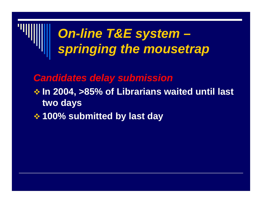

*Candidates delay submission*

- **In 2004, >85% of Librarians waited until last two days**
- **100% submitted by last day**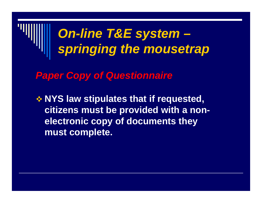

*Paper Copy of Questionnaire*

 **NYS law stipulates that if requested, citizens must be provided with a nonelectronic copy of documents they must complete.**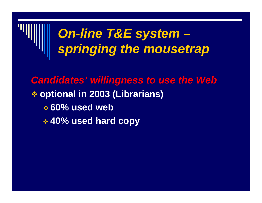

*Candidates' willingness to use the Web* **optional in 2003 (Librarians) 60% used web 40% used hard copy**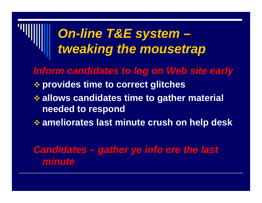### *On-line T&E system – tweaking the mousetrap*

*Inform candidates to log on Web site early* **provides time to correct glitches allows candidates time to gather material needed to respond**

**ameliorates last minute crush on help desk**

*Candidates – gather ye info ere the last minute*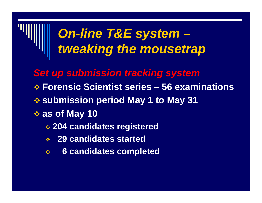### *On-line T&E system – tweaking the mousetrap*

- *Set up submission tracking system*
- **Forensic Scientist series – 56 examinations**
- **submission period May 1 to May 31**
- **as of May 10**
	- **204 candidates registered**
	- **29 candidates started**
	- $\frac{1}{2}$ **6 candidates completed**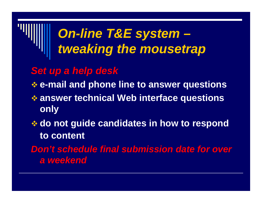### *On-line T&E system – tweaking the mousetrap*

#### *Set up a help desk*

**e-mail and phone line to answer questions**

- **answer technical Web interface questions only**
- **do not guide candidates in how to respond to content**

*Don't schedule final submission date for over a weekend*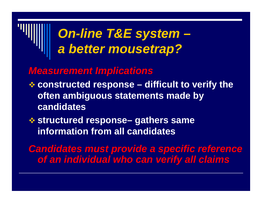### *On-line T&E system – a better mousetrap?*

#### *Measurement Implications*

- **constructed response – difficult to verify the often ambiguous statements made by candidates**
- **<del><b>**  $\diamond$  structured response− gathers same</del> **information from all candidates**

*Candidates must provide a specific reference of an individual who can verify all claims*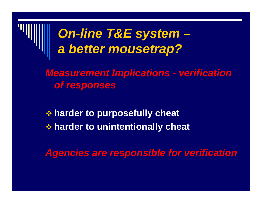

*Measurement Implications - verification of responses*

 **harder to purposefully cheat harder to unintentionally cheat**

*Agencies are responsible for verification*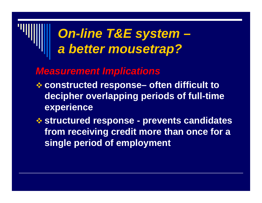### *On-line T&E system – a better mousetrap?*

- **constructed response– often difficult to decipher overlapping periods of full-time experience**
- **structured response - prevents candidates from receiving credit more than once for a single period of employment**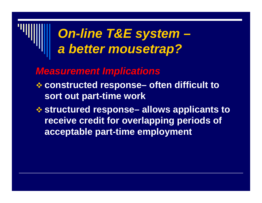### *On-line T&E system – a better mousetrap?*

- **constructed response– often difficult to sort out part-time work**
- **❖ structured response– allows applicants to receive credit for overlapping periods of acceptable part-time employment**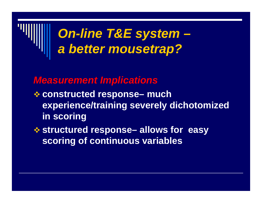

- **constructed response– much experience/training severely dichotomized in scoring**
- **structured response– allows for easy scoring of continuous variables**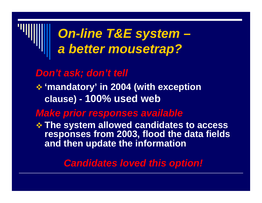### *On-line T&E system – a better mousetrap?*

#### *Don't ask; don't tell*

#### **'mandatory' in 2004 (with exception clause) - 100% used web**

#### *Make prior responses available*

 **The system allowed candidates to access responses from 2003, flood the data fields and then update the information**

#### *Candidates loved this option!*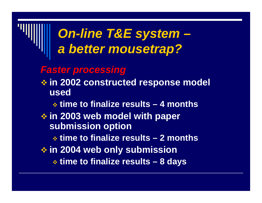#### *On-line T&E system – a better mousetrap?*

#### *Faster processing*

 **in 2002 constructed response model used**

**time to finalize results – 4 months**

 **in 2003 web model with paper submission option**

**time to finalize results – 2 months**

**in 2004 web only submission**

**time to finalize results – 8 days**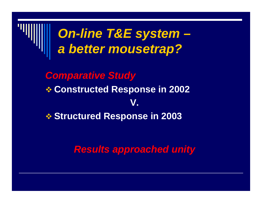

**Structured Response in 2003**

*Results approached unity*

**V.**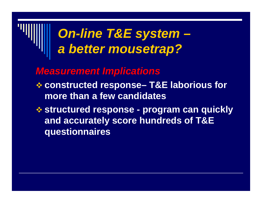### *On-line T&E system – a better mousetrap?*

- **constructed response– T&E laborious for more than a few candidates**
- **structured response - program can quickly and accurately score hundreds of T&E questionnaires**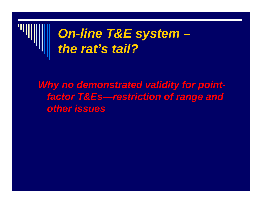

#### *Why no demonstrated validity for pointfactor T&Es—restriction of range and other issues*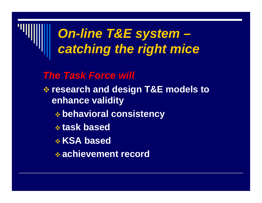

#### *On-line T&E system – catching the right mice*

#### *The Task Force will*

- **research and design T&E models to enhance validity** 
	- **behavioral consistency**
	- **task based**
	- **KSA based**
	- **achievement record**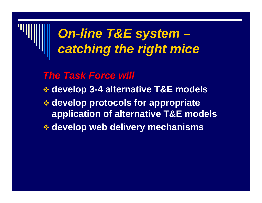

#### *On-line T&E system – catching the right mice*

*The Task Force will*

- **develop 3-4 alternative T&E models**
- **develop protocols for appropriate application of alternative T&E models**
- **develop web delivery mechanisms**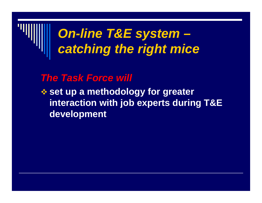

#### *The Task Force will*

 **set up a methodology for greater interaction with job experts during T&E development**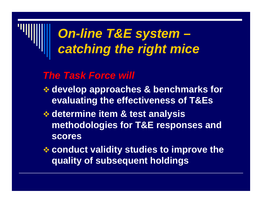### *On-line T&E system – catching the right mice*

#### *The Task Force will*

- **develop approaches & benchmarks for evaluating the effectiveness of T&Es**
- **determine item & test analysis methodologies for T&E responses and scores**
- **conduct validity studies to improve the quality of subsequent holdings**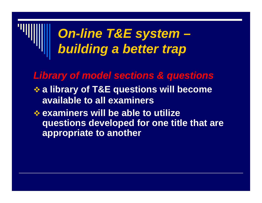### *On-line T&E system – building a better trap*

*Library of model sections & questions*

- **a library of T&E questions will become available to all examiners**
- **examiners will be able to utilize questions developed for one title that are appropriate to another**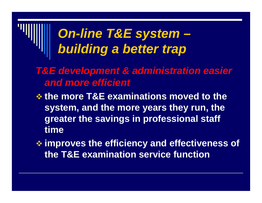### *On-line T&E system – building a better trap*

- *T&E development & administration easier and more efficient*
- **the more T&E examinations moved to the system, and the more years they run, the greater the savings in professional staff time**
- **improves the efficiency and effectiveness of the T&E examination service function**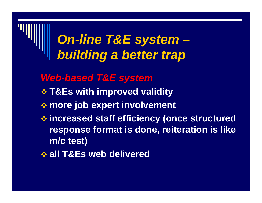#### *On-line T&E system – building a better trap*

- *Web-based T&E system*
- **T&Es with improved validity**
- **more job expert involvement**
- **increased staff efficiency (once structured response format is done, reiteration is like m/c test)**
- **all T&Es web delivered**